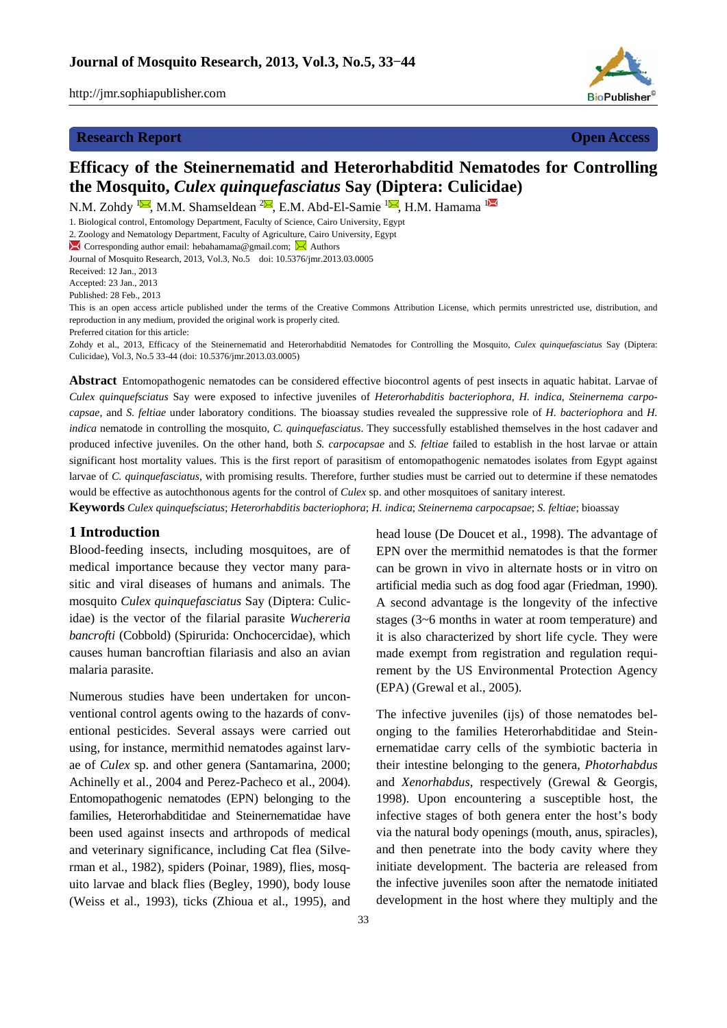

# **Research Report Open Access Open Access Open Access**

# **Efficacy of the Steinernematid and Heterorhabditid Nematodes for Controlling the Mosquito,** *Culex quinquefasciatus* **Say (Diptera: Culicidae)**

N.M. Zohdy <sup>1</sup>, M.M. Shamseldean <sup>2</sup>, E.M. Abd-El-Samie <sup>1</sup>, H.M. Hamama <sup>1</sup>

1. Biological control, Entomology Department, Faculty of Science, Cairo University, Egypt

2. Zoology and Nematology Department, Faculty of Agriculture, Cairo University, Egypt

 $\blacktriangleright$  Corresponding author email: hebahamama@gmail.com;  $\blacktriangleright$  Authors

Journal of Mosquito Research, 2013, Vol.3, No.5 doi: 10.5376/jmr.2013.03.0005

Received: 12 Jan., 2013

Accepted: 23 Jan., 2013

Published: 28 Feb., 2013

This is an open access article published under the terms of the Creative Commons Attribution License, which permits unrestricted use, distribution, and reproduction in any medium, provided the original work is properly cited. Preferred citation for this article:

Zohdy et al., 2013, Efficacy of the Steinernematid and Heterorhabditid Nematodes for Controlling the Mosquito, *Culex quinquefasciatus* Say (Diptera: Culicidae), Vol.3, No.5 33-44 (doi: 10.5376/jmr.2013.03.0005)

**Abstract** Entomopathogenic nematodes can be considered effective biocontrol agents of pest insects in aquatic habitat. Larvae of *Culex quinquefsciatus* Say were exposed to infective juveniles of *Heterorhabditis bacteriophora*, *H. indica*, *Steinernema carpocapsae*, and *S. feltiae* under laboratory conditions. The bioassay studies revealed the suppressive role of *H. bacteriophora* and *H. indica* nematode in controlling the mosquito, *C. quinquefasciatus*. They successfully established themselves in the host cadaver and produced infective juveniles. On the other hand, both *S. carpocapsae* and *S. feltiae* failed to establish in the host larvae or attain significant host mortality values. This is the first report of parasitism of entomopathogenic nematodes isolates from Egypt against larvae of *C. quinquefasciatus*, with promising results. Therefore, further studies must be carried out to determine if these nematodes would be effective as autochthonous agents for the control of *Culex* sp. and other mosquitoes of sanitary interest.

**Keywords** *Culex quinquefsciatus*; *Heterorhabditis bacteriophora*; *H. indica*; *Steinernema carpocapsae*; *S. feltiae*; bioassay

### **1 Introduction**

Blood-feeding insects, including mosquitoes, are of medical importance because they vector many parasitic and viral diseases of humans and animals. The mosquito *Culex quinquefasciatus* Say (Diptera: Culicidae) is the vector of the filarial parasite *Wuchereria bancrofti* (Cobbold) (Spirurida: Onchocercidae), which causes human bancroftian filariasis and also an avian malaria parasite.

Numerous studies have been undertaken for unconventional control agents owing to the hazards of conventional pesticides. Several assays were carried out using, for instance, mermithid nematodes against larvae of *Culex* sp. and other genera (Santamarina, 2000; Achinelly et al., 2004 and Perez-Pacheco et al., 2004). Entomopathogenic nematodes (EPN) belonging to the families, Heterorhabditidae and Steinernematidae have been used against insects and arthropods of medical and veterinary significance, including Cat flea (Silverman et al., 1982), spiders (Poinar, 1989), flies, mosquito larvae and black flies (Begley, 1990), body louse (Weiss et al., 1993), ticks (Zhioua et al., 1995), and

33

head louse (De Doucet et al., 1998). The advantage of EPN over the mermithid nematodes is that the former can be grown in vivo in alternate hosts or in vitro on artificial media such as dog food agar (Friedman, 1990). A second advantage is the longevity of the infective stages (3~6 months in water at room temperature) and it is also characterized by short life cycle. They were made exempt from registration and regulation requirement by the US Environmental Protection Agency (EPA) (Grewal et al., 2005).

The infective juveniles (ijs) of those nematodes belonging to the families Heterorhabditidae and Steinernematidae carry cells of the symbiotic bacteria in their intestine belonging to the genera, *Photorhabdus*  and *Xenorhabdus*, respectively (Grewal & Georgis, 1998). Upon encountering a susceptible host, the infective stages of both genera enter the host's body via the natural body openings (mouth, anus, spiracles), and then penetrate into the body cavity where they initiate development. The bacteria are released from the infective juveniles soon after the nematode initiated development in the host where they multiply and the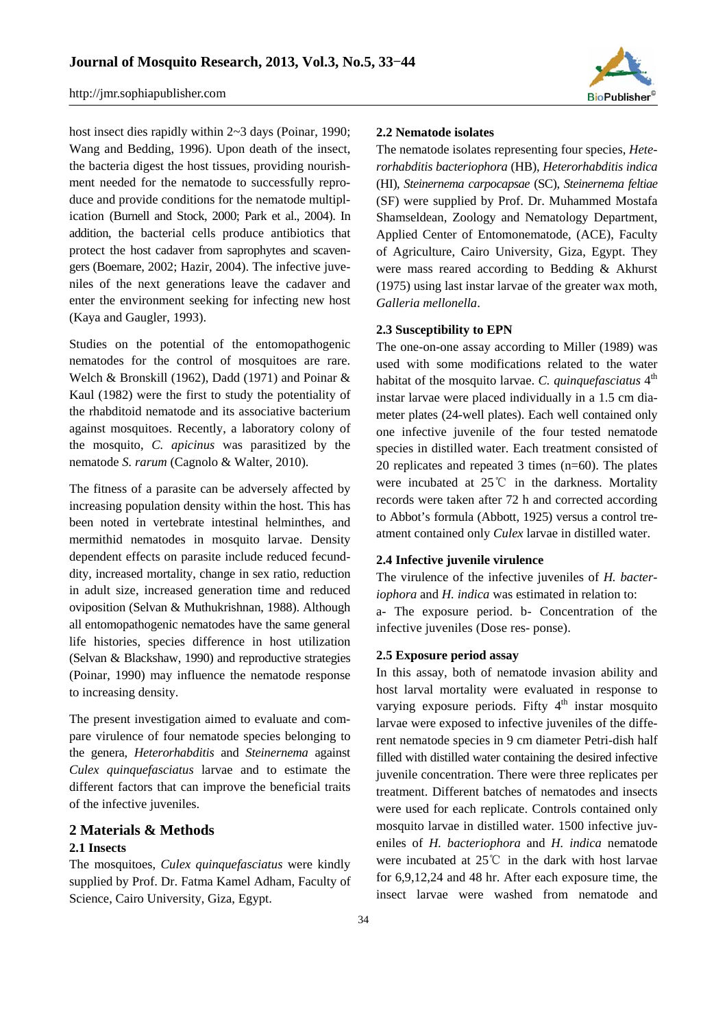

host insect dies rapidly within 2~3 days (Poinar, 1990; Wang and Bedding, 1996). Upon death of the insect, the bacteria digest the host tissues, providing nourishment needed for the nematode to successfully reproduce and provide conditions for the nematode multiplication (Burnell and Stock, 2000; Park et al., 2004). In addition, the bacterial cells produce antibiotics that protect the host cadaver from saprophytes and scavengers (Boemare, 2002; Hazir, 2004). The infective juveniles of the next generations leave the cadaver and enter the environment seeking for infecting new host (Kaya and Gaugler, 1993).

Studies on the potential of the entomopathogenic nematodes for the control of mosquitoes are rare. Welch & Bronskill (1962), Dadd (1971) and Poinar & Kaul (1982) were the first to study the potentiality of the rhabditoid nematode and its associative bacterium against mosquitoes. Recently, a laboratory colony of the mosquito, *C. apicinus* was parasitized by the nematode *S. rarum* (Cagnolo & Walter, 2010).

The fitness of a parasite can be adversely affected by increasing population density within the host. This has been noted in vertebrate intestinal helminthes, and mermithid nematodes in mosquito larvae. Density dependent effects on parasite include reduced fecunddity, increased mortality, change in sex ratio, reduction in adult size, increased generation time and reduced oviposition (Selvan & Muthukrishnan, 1988). Although all entomopathogenic nematodes have the same general life histories, species difference in host utilization (Selvan & Blackshaw, 1990) and reproductive strategies (Poinar, 1990) may influence the nematode response to increasing density.

The present investigation aimed to evaluate and compare virulence of four nematode species belonging to the genera, *Heterorhabditis* and *Steinernema* against *Culex quinquefasciatus* larvae and to estimate the different factors that can improve the beneficial traits of the infective juveniles.

# **2 Materials & Methods 2.1 Insects**

The mosquitoes, *Culex quinquefasciatus* were kindly supplied by Prof. Dr. Fatma Kamel Adham, Faculty of Science, Cairo University, Giza, Egypt.

#### **2.2 Nematode isolates**

The nematode isolates representing four species, *Heterorhabditis bacteriophora* (HB), *Heterorhabditis indica* (HI), *Steinernema carpocapsae* (SC), *Steinernema feltiae* (SF) were supplied by Prof. Dr. Muhammed Mostafa Shamseldean, Zoology and Nematology Department, Applied Center of Entomonematode, (ACE), Faculty of Agriculture, Cairo University, Giza, Egypt. They were mass reared according to Bedding & Akhurst (1975) using last instar larvae of the greater wax moth, *Galleria mellonella*.

# **2.3 Susceptibility to EPN**

The one-on-one assay according to Miller (1989) was used with some modifications related to the water habitat of the mosquito larvae. *C. quinquefasciatus* 4<sup>th</sup> instar larvae were placed individually in a 1.5 cm diameter plates (24-well plates). Each well contained only one infective juvenile of the four tested nematode species in distilled water. Each treatment consisted of 20 replicates and repeated 3 times (n=60). The plates were incubated at 25℃ in the darkness. Mortality records were taken after 72 h and corrected according to Abbot's formula (Abbott, 1925) versus a control treatment contained only *Culex* larvae in distilled water.

## **2.4 Infective juvenile virulence**

The virulence of the infective juveniles of *H. bacteriophora* and *H. indica* was estimated in relation to: a- The exposure period. b- Concentration of the infective juveniles (Dose res- ponse).

#### **2.5 Exposure period assay**

In this assay, both of nematode invasion ability and host larval mortality were evaluated in response to varying exposure periods. Fifty  $4<sup>th</sup>$  instar mosquito larvae were exposed to infective juveniles of the different nematode species in 9 cm diameter Petri-dish half filled with distilled water containing the desired infective juvenile concentration. There were three replicates per treatment. Different batches of nematodes and insects were used for each replicate. Controls contained only mosquito larvae in distilled water. 1500 infective juveniles of *H. bacteriophora* and *H. indica* nematode were incubated at 25℃ in the dark with host larvae for 6,9,12,24 and 48 hr. After each exposure time, the insect larvae were washed from nematode and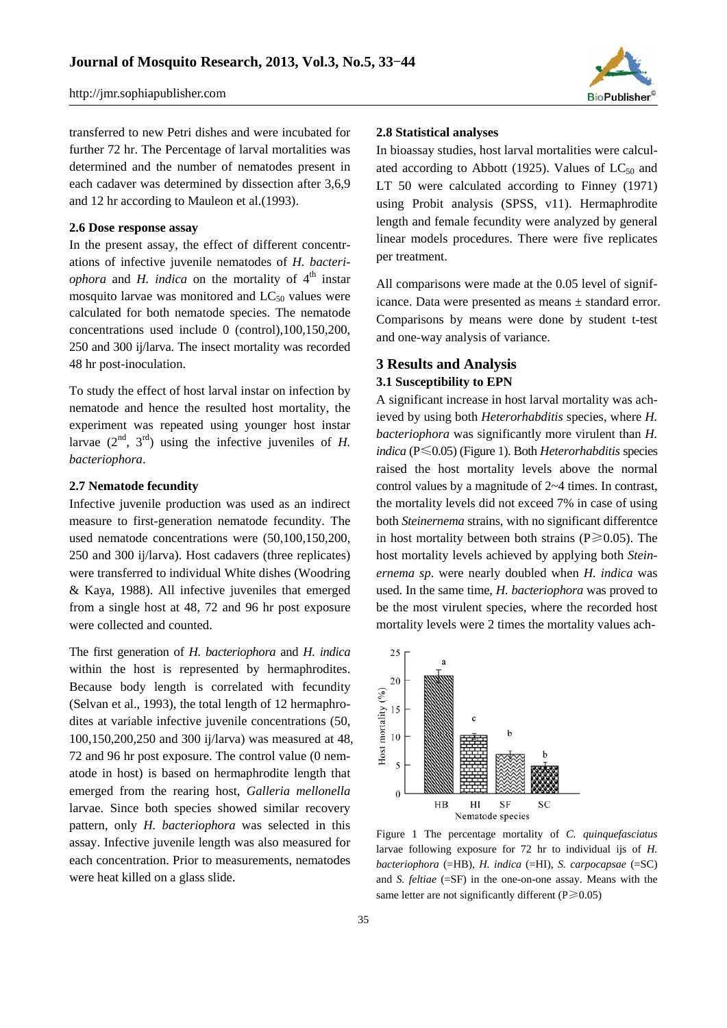

transferred to new Petri dishes and were incubated for further 72 hr. The Percentage of larval mortalities was determined and the number of nematodes present in each cadaver was determined by dissection after 3,6,9 and 12 hr according to Mauleon et al.(1993).

### **2.6 Dose response assay**

In the present assay, the effect of different concentrations of infective juvenile nematodes of *H. bacteriophora* and *H. indica* on the mortality of  $4<sup>th</sup>$  instar mosquito larvae was monitored and  $LC_{50}$  values were calculated for both nematode species. The nematode concentrations used include 0 (control),100,150,200, 250 and 300 ij/larva. The insect mortality was recorded 48 hr post-inoculation.

To study the effect of host larval instar on infection by nematode and hence the resulted host mortality, the experiment was repeated using younger host instar larvae  $(2<sup>nd</sup>, 3<sup>rd</sup>)$  using the infective juveniles of *H*. *bacteriophora*.

### **2.7 Nematode fecundity**

Infective juvenile production was used as an indirect measure to first-generation nematode fecundity. The used nematode concentrations were (50,100,150,200, 250 and 300 ij/larva). Host cadavers (three replicates) were transferred to individual White dishes (Woodring & Kaya, 1988). All infective juveniles that emerged from a single host at 48, 72 and 96 hr post exposure were collected and counted.

The first generation of *H. bacteriophora* and *H. indica* within the host is represented by hermaphrodites. Because body length is correlated with fecundity (Selvan et al., 1993), the total length of 12 hermaphrodites at variable infective juvenile concentrations (50, 100,150,200,250 and 300 ij/larva) was measured at 48, 72 and 96 hr post exposure. The control value (0 nematode in host) is based on hermaphrodite length that emerged from the rearing host, *Galleria mellonella* larvae. Since both species showed similar recovery pattern, only *H. bacteriophora* was selected in this assay. Infective juvenile length was also measured for each concentration. Prior to measurements, nematodes were heat killed on a glass slide.

#### **2.8 Statistical analyses**

In bioassay studies, host larval mortalities were calculated according to Abbott (1925). Values of  $LC_{50}$  and LT 50 were calculated according to Finney (1971) using Probit analysis (SPSS, v11). Hermaphrodite length and female fecundity were analyzed by general linear models procedures. There were five replicates per treatment.

All comparisons were made at the 0.05 level of significance. Data were presented as means ± standard error. Comparisons by means were done by student t-test and one-way analysis of variance.

# **3 Results and Analysis**

# **3.1 Susceptibility to EPN**

A significant increase in host larval mortality was achieved by using both *Heterorhabditis* species, where *H. bacteriophora* was significantly more virulent than *H. indica* (P≤0.05) (Figure 1). Both *Heterorhabditis* species raised the host mortality levels above the normal control values by a magnitude of 2~4 times. In contrast, the mortality levels did not exceed 7% in case of using both *Steinernema* strains, with no significant differentce in host mortality between both strains ( $P \ge 0.05$ ). The host mortality levels achieved by applying both *Steinernema sp*. were nearly doubled when *H. indica* was used. In the same time, *H. bacteriophora* was proved to be the most virulent species, where the recorded host mortality levels were 2 times the mortality values ach-



Figure 1 The percentage mortality of *C. quinquefasciatus* larvae following exposure for 72 hr to individual ijs of *H. bacteriophora* (=HB), *H. indica* (=HI), *S. carpocapsae* (=SC) and *S. feltiae* (=SF) in the one-on-one assay. Means with the same letter are not significantly different ( $P \ge 0.05$ )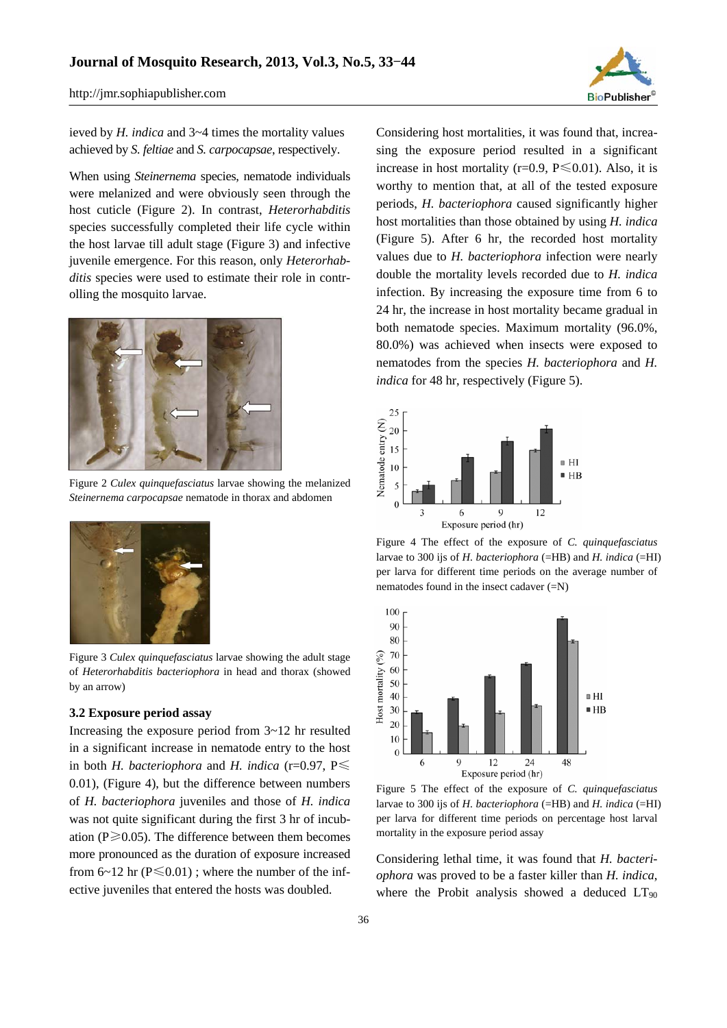

ieved by *H. indica* and 3~4 times the mortality values achieved by *S. feltiae* and *S. carpocapsae*, respectively.

When using *Steinernema* species, nematode individuals were melanized and were obviously seen through the host cuticle (Figure 2). In contrast, *Heterorhabditis* species successfully completed their life cycle within the host larvae till adult stage (Figure 3) and infective juvenile emergence. For this reason, only *Heterorhabditis* species were used to estimate their role in controlling the mosquito larvae.



Figure 2 *Culex quinquefasciatus* larvae showing the melanized *Steinernema carpocapsae* nematode in thorax and abdomen



Figure 3 *Culex quinquefasciatus* larvae showing the adult stage of *Heterorhabditis bacteriophora* in head and thorax (showed by an arrow)

## **3.2 Exposure period assay**

Increasing the exposure period from 3~12 hr resulted in a significant increase in nematode entry to the host in both *H. bacteriophora* and *H. indica* (r=0.97,  $P \leq$ 0.01), (Figure 4), but the difference between numbers of *H. bacteriophora* juveniles and those of *H. indica* was not quite significant during the first 3 hr of incubation ( $P \ge 0.05$ ). The difference between them becomes more pronounced as the duration of exposure increased from  $6~12$  hr ( $P \le 0.01$ ); where the number of the infective juveniles that entered the hosts was doubled.

Considering host mortalities, it was found that, increasing the exposure period resulted in a significant increase in host mortality ( $r=0.9$ ,  $P \le 0.01$ ). Also, it is worthy to mention that, at all of the tested exposure periods, *H. bacteriophora* caused significantly higher host mortalities than those obtained by using *H. indica*  (Figure 5). After 6 hr, the recorded host mortality values due to *H. bacteriophora* infection were nearly double the mortality levels recorded due to *H. indica*  infection. By increasing the exposure time from 6 to 24 hr, the increase in host mortality became gradual in both nematode species. Maximum mortality (96.0%, 80.0%) was achieved when insects were exposed to nematodes from the species *H. bacteriophora* and *H. indica* for 48 hr, respectively (Figure 5).



Figure 4 The effect of the exposure of *C. quinquefasciatus* larvae to 300 ijs of *H. bacteriophora* (=HB) and *H. indica* (=HI) per larva for different time periods on the average number of nematodes found in the insect cadaver (=N)



Figure 5 The effect of the exposure of *C. quinquefasciatus*  larvae to 300 ijs of *H. bacteriophora* (=HB) and *H. indica* (=HI) per larva for different time periods on percentage host larval mortality in the exposure period assay

Considering lethal time, it was found that *H. bacteriophora* was proved to be a faster killer than *H. indica*, where the Probit analysis showed a deduced  $LT_{90}$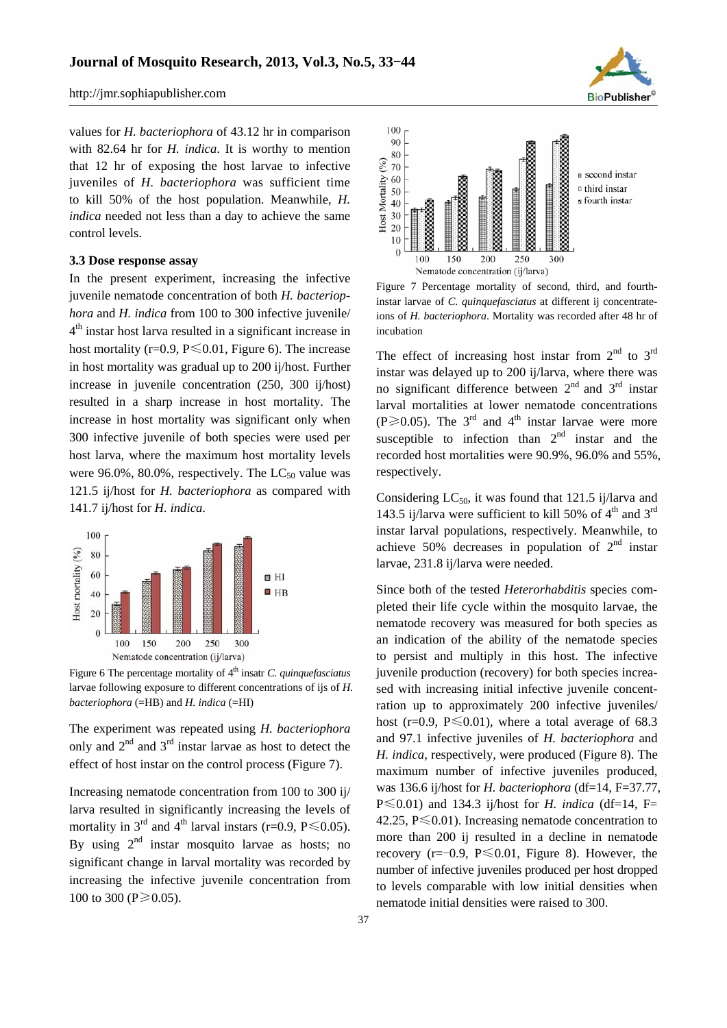values for *H. bacteriophora* of 43.12 hr in comparison with 82.64 hr for *H. indica*. It is worthy to mention that 12 hr of exposing the host larvae to infective juveniles of *H. bacteriophora* was sufficient time to kill 50% of the host population. Meanwhile, *H. indica* needed not less than a day to achieve the same control levels.

# **3.3 Dose response assay**

In the present experiment, increasing the infective juvenile nematode concentration of both *H. bacteriophora* and *H. indica* from 100 to 300 infective juvenile/  $4<sup>th</sup>$  instar host larva resulted in a significant increase in host mortality (r=0.9,  $P \le 0.01$ , Figure 6). The increase in host mortality was gradual up to 200 ij/host. Further increase in juvenile concentration (250, 300 ij/host) resulted in a sharp increase in host mortality. The increase in host mortality was significant only when 300 infective juvenile of both species were used per host larva, where the maximum host mortality levels were 96.0%, 80.0%, respectively. The  $LC_{50}$  value was 121.5 ij/host for *H. bacteriophora* as compared with 141.7 ij/host for *H. indica*.



Figure 6 The percentage mortality of 4<sup>th</sup> insatr *C. quinquefasciatus* larvae following exposure to different concentrations of ijs of *H. bacteriophora* (=HB) and *H. indica* (=HI)

The experiment was repeated using *H. bacteriophora* only and  $2<sup>nd</sup>$  and  $3<sup>rd</sup>$  instar larvae as host to detect the effect of host instar on the control process (Figure 7).

Increasing nematode concentration from 100 to 300 ij/ larva resulted in significantly increasing the levels of mortality in  $3^{rd}$  and  $4^{th}$  larval instars (r=0.9, P  $\leq$  0.05). By using  $2<sup>nd</sup>$  instar mosquito larvae as hosts; no significant change in larval mortality was recorded by increasing the infective juvenile concentration from 100 to 300 ( $P \ge 0.05$ ).



Figure 7 Percentage mortality of second, third, and fourthinstar larvae of *C. quinquefasciatus* at different ij concentrateions of *H. bacteriophora*. Mortality was recorded after 48 hr of incubation

The effect of increasing host instar from  $2<sup>nd</sup>$  to  $3<sup>rd</sup>$ instar was delayed up to 200 ij/larva, where there was no significant difference between  $2<sup>nd</sup>$  and  $3<sup>rd</sup>$  instar larval mortalities at lower nematode concentrations (P $\geq$ 0.05). The 3<sup>rd</sup> and 4<sup>th</sup> instar larvae were more susceptible to infection than  $2<sup>nd</sup>$  instar and the recorded host mortalities were 90.9%, 96.0% and 55%, respectively.

Considering  $LC_{50}$ , it was found that 121.5 ij/larva and 143.5 ij/larva were sufficient to kill 50% of  $4<sup>th</sup>$  and 3<sup>rd</sup> instar larval populations, respectively. Meanwhile, to achieve 50% decreases in population of  $2<sup>nd</sup>$  instar larvae, 231.8 ij/larva were needed.

Since both of the tested *Heterorhabditis* species completed their life cycle within the mosquito larvae, the nematode recovery was measured for both species as an indication of the ability of the nematode species to persist and multiply in this host. The infective juvenile production (recovery) for both species increased with increasing initial infective juvenile concentration up to approximately 200 infective juveniles/ host (r=0.9,  $P \le 0.01$ ), where a total average of 68.3 and 97.1 infective juveniles of *H. bacteriophora* and *H. indica*, respectively, were produced (Figure 8). The maximum number of infective juveniles produced, was 136.6 ij/host for *H. bacteriophora* (df=14, F=37.77,  $P \le 0.01$ ) and 134.3 ij/host for *H. indica* (df=14, F= 42.25,  $P \le 0.01$ ). Increasing nematode concentration to more than 200 ij resulted in a decline in nematode recovery ( $r=-0.9$ ,  $P \le 0.01$ , Figure 8). However, the number of infective juveniles produced per host dropped to levels comparable with low initial densities when nematode initial densities were raised to 300.

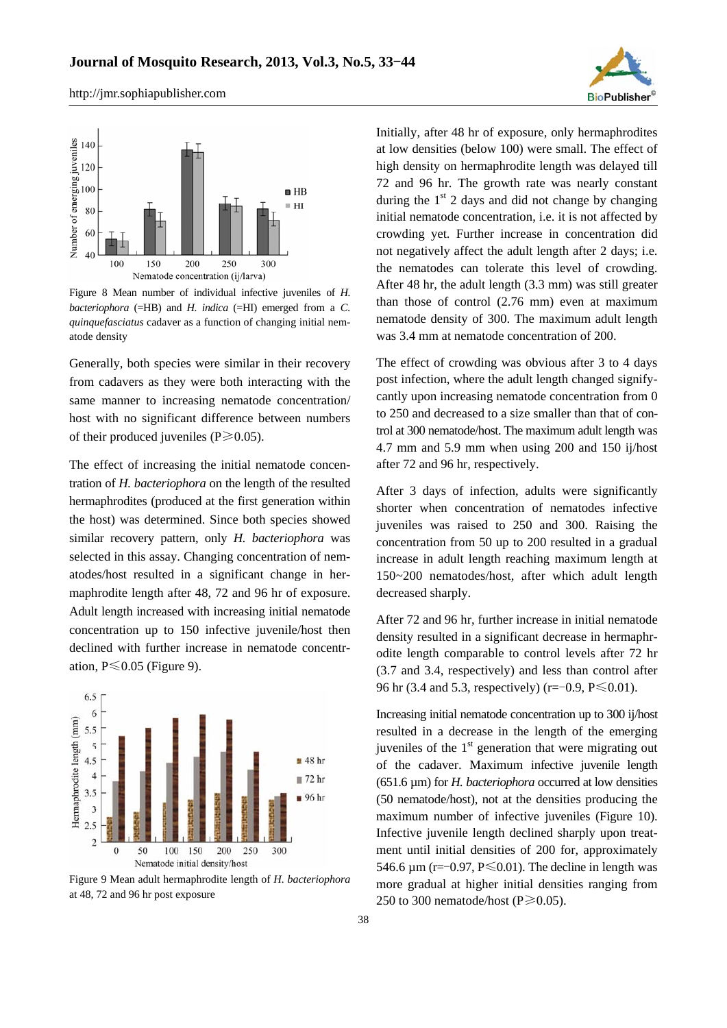



Figure 8 Mean number of individual infective juveniles of *H. bacteriophora* (=HB) and *H. indica* (=HI) emerged from a *C. quinquefasciatus* cadaver as a function of changing initial nematode density

Generally, both species were similar in their recovery from cadavers as they were both interacting with the same manner to increasing nematode concentration/ host with no significant difference between numbers of their produced juveniles ( $P \ge 0.05$ ).

The effect of increasing the initial nematode concentration of *H. bacteriophora* on the length of the resulted hermaphrodites (produced at the first generation within the host) was determined. Since both species showed similar recovery pattern, only *H. bacteriophora* was selected in this assay. Changing concentration of nematodes/host resulted in a significant change in hermaphrodite length after 48, 72 and 96 hr of exposure. Adult length increased with increasing initial nematode concentration up to 150 infective juvenile/host then declined with further increase in nematode concentration,  $P \le 0.05$  (Figure 9).



Figure 9 Mean adult hermaphrodite length of *H. bacteriophora* at 48, 72 and 96 hr post exposure

Initially, after 48 hr of exposure, only hermaphrodites at low densities (below 100) were small. The effect of high density on hermaphrodite length was delayed till 72 and 96 hr. The growth rate was nearly constant during the  $1<sup>st</sup>$  2 days and did not change by changing initial nematode concentration, i.e. it is not affected by crowding yet. Further increase in concentration did not negatively affect the adult length after 2 days; i.e. the nematodes can tolerate this level of crowding. After 48 hr, the adult length (3.3 mm) was still greater than those of control (2.76 mm) even at maximum nematode density of 300. The maximum adult length was 3.4 mm at nematode concentration of 200.

The effect of crowding was obvious after 3 to 4 days post infection, where the adult length changed signifycantly upon increasing nematode concentration from 0 to 250 and decreased to a size smaller than that of control at 300 nematode/host. The maximum adult length was 4.7 mm and 5.9 mm when using 200 and 150 ij/host after 72 and 96 hr, respectively.

After 3 days of infection, adults were significantly shorter when concentration of nematodes infective juveniles was raised to 250 and 300. Raising the concentration from 50 up to 200 resulted in a gradual increase in adult length reaching maximum length at 150~200 nematodes/host, after which adult length decreased sharply.

After 72 and 96 hr, further increase in initial nematode density resulted in a significant decrease in hermaphrodite length comparable to control levels after 72 hr (3.7 and 3.4, respectively) and less than control after 96 hr (3.4 and 5.3, respectively) (r= $-0.9$ , P $\leq 0.01$ ).

Increasing initial nematode concentration up to 300 ij/host resulted in a decrease in the length of the emerging juveniles of the  $1<sup>st</sup>$  generation that were migrating out of the cadaver. Maximum infective juvenile length (651.6 µm) for *H. bacteriophora* occurred at low densities (50 nematode/host), not at the densities producing the maximum number of infective juveniles (Figure 10). Infective juvenile length declined sharply upon treatment until initial densities of 200 for, approximately 546.6  $\mu$ m (r=-0.97, P $\leq$ 0.01). The decline in length was more gradual at higher initial densities ranging from 250 to 300 nematode/host ( $P \ge 0.05$ ).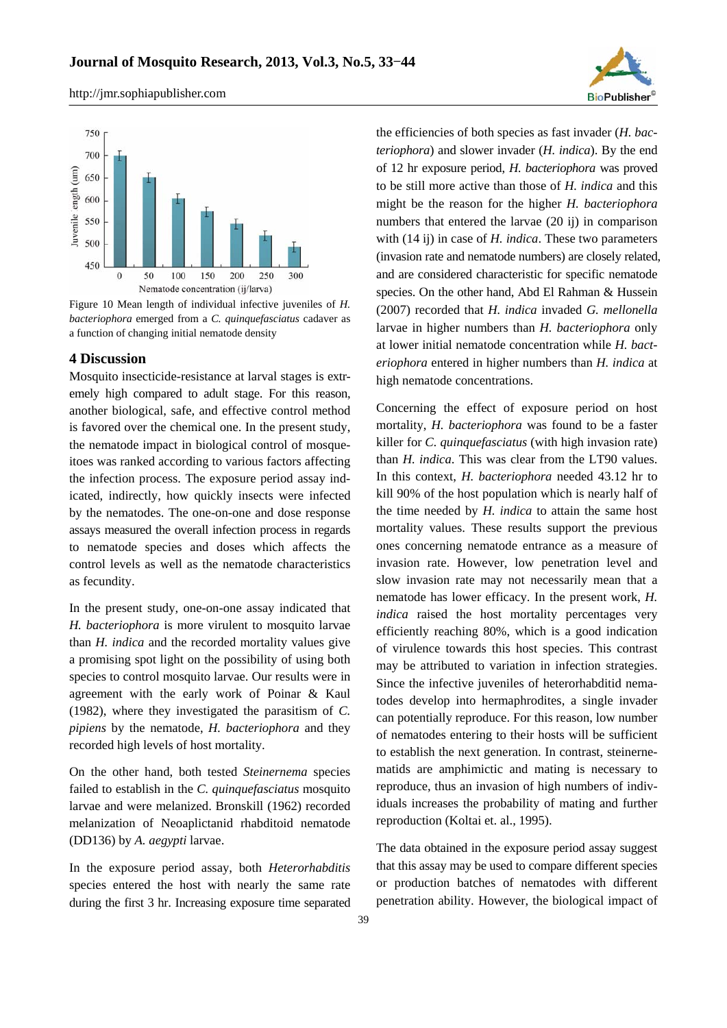



Figure 10 Mean length of individual infective juveniles of *H. bacteriophora* emerged from a *C. quinquefasciatus* cadaver as a function of changing initial nematode density

## **4 Discussion**

Mosquito insecticide-resistance at larval stages is extremely high compared to adult stage. For this reason, another biological, safe, and effective control method is favored over the chemical one. In the present study, the nematode impact in biological control of mosqueitoes was ranked according to various factors affecting the infection process. The exposure period assay indicated, indirectly, how quickly insects were infected by the nematodes. The one-on-one and dose response assays measured the overall infection process in regards to nematode species and doses which affects the control levels as well as the nematode characteristics as fecundity.

In the present study, one-on-one assay indicated that *H. bacteriophora* is more virulent to mosquito larvae than *H. indica* and the recorded mortality values give a promising spot light on the possibility of using both species to control mosquito larvae. Our results were in agreement with the early work of Poinar & Kaul (1982), where they investigated the parasitism of *C. pipiens* by the nematode, *H. bacteriophora* and they recorded high levels of host mortality.

On the other hand, both tested *Steinernema* species failed to establish in the *C. quinquefasciatus* mosquito larvae and were melanized. Bronskill (1962) recorded melanization of Neoaplictanid rhabditoid nematode (DD136) by *A. aegypti* larvae.

In the exposure period assay, both *Heterorhabditis* species entered the host with nearly the same rate during the first 3 hr. Increasing exposure time separated the efficiencies of both species as fast invader (*H. bacteriophora*) and slower invader (*H. indica*). By the end of 12 hr exposure period, *H. bacteriophora* was proved to be still more active than those of *H. indica* and this might be the reason for the higher *H. bacteriophora* numbers that entered the larvae (20 ij) in comparison with (14 ij) in case of *H. indica*. These two parameters (invasion rate and nematode numbers) are closely related, and are considered characteristic for specific nematode species. On the other hand, Abd El Rahman & Hussein (2007) recorded that *H. indica* invaded *G. mellonella* larvae in higher numbers than *H. bacteriophora* only at lower initial nematode concentration while *H. bacteriophora* entered in higher numbers than *H. indica* at high nematode concentrations.

Concerning the effect of exposure period on host mortality, *H. bacteriophora* was found to be a faster killer for *C. quinquefasciatus* (with high invasion rate) than *H. indica*. This was clear from the LT90 values. In this context, *H. bacteriophora* needed 43.12 hr to kill 90% of the host population which is nearly half of the time needed by *H. indica* to attain the same host mortality values. These results support the previous ones concerning nematode entrance as a measure of invasion rate. However, low penetration level and slow invasion rate may not necessarily mean that a nematode has lower efficacy. In the present work, *H. indica* raised the host mortality percentages very efficiently reaching 80%, which is a good indication of virulence towards this host species. This contrast may be attributed to variation in infection strategies. Since the infective juveniles of heterorhabditid nematodes develop into hermaphrodites, a single invader can potentially reproduce. For this reason, low number of nematodes entering to their hosts will be sufficient to establish the next generation. In contrast, steinernematids are amphimictic and mating is necessary to reproduce, thus an invasion of high numbers of individuals increases the probability of mating and further reproduction (Koltai et. al., 1995).

The data obtained in the exposure period assay suggest that this assay may be used to compare different species or production batches of nematodes with different penetration ability. However, the biological impact of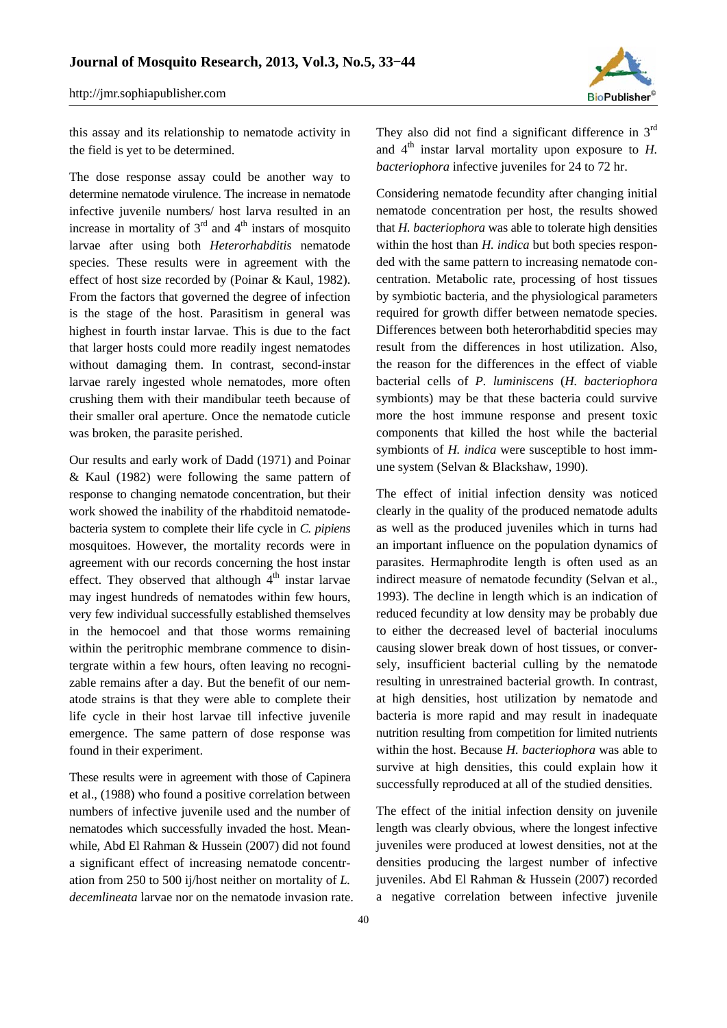

this assay and its relationship to nematode activity in the field is yet to be determined.

The dose response assay could be another way to determine nematode virulence. The increase in nematode infective juvenile numbers/ host larva resulted in an increase in mortality of  $3<sup>rd</sup>$  and  $4<sup>th</sup>$  instars of mosquito larvae after using both *Heterorhabditis* nematode species. These results were in agreement with the effect of host size recorded by (Poinar & Kaul, 1982). From the factors that governed the degree of infection is the stage of the host. Parasitism in general was highest in fourth instar larvae. This is due to the fact that larger hosts could more readily ingest nematodes without damaging them. In contrast, second-instar larvae rarely ingested whole nematodes, more often crushing them with their mandibular teeth because of their smaller oral aperture. Once the nematode cuticle was broken, the parasite perished.

Our results and early work of Dadd (1971) and Poinar & Kaul (1982) were following the same pattern of response to changing nematode concentration, but their work showed the inability of the rhabditoid nematodebacteria system to complete their life cycle in *C. pipiens* mosquitoes. However, the mortality records were in agreement with our records concerning the host instar effect. They observed that although  $4<sup>th</sup>$  instar larvae may ingest hundreds of nematodes within few hours, very few individual successfully established themselves in the hemocoel and that those worms remaining within the peritrophic membrane commence to disintergrate within a few hours, often leaving no recognizable remains after a day. But the benefit of our nematode strains is that they were able to complete their life cycle in their host larvae till infective juvenile emergence. The same pattern of dose response was found in their experiment.

These results were in agreement with those of Capinera et al., (1988) who found a positive correlation between numbers of infective juvenile used and the number of nematodes which successfully invaded the host. Meanwhile, Abd El Rahman & Hussein (2007) did not found a significant effect of increasing nematode concentration from 250 to 500 ij/host neither on mortality of *L. decemlineata* larvae nor on the nematode invasion rate. They also did not find a significant difference in  $3<sup>rd</sup>$ and  $4<sup>th</sup>$  instar larval mortality upon exposure to *H*. *bacteriophora* infective juveniles for 24 to 72 hr.

Considering nematode fecundity after changing initial nematode concentration per host, the results showed that *H. bacteriophora* was able to tolerate high densities within the host than *H. indica* but both species responded with the same pattern to increasing nematode concentration. Metabolic rate, processing of host tissues by symbiotic bacteria, and the physiological parameters required for growth differ between nematode species. Differences between both heterorhabditid species may result from the differences in host utilization. Also, the reason for the differences in the effect of viable bacterial cells of *P. luminiscens* (*H. bacteriophora*  symbionts) may be that these bacteria could survive more the host immune response and present toxic components that killed the host while the bacterial symbionts of *H. indica* were susceptible to host immune system (Selvan & Blackshaw, 1990).

The effect of initial infection density was noticed clearly in the quality of the produced nematode adults as well as the produced juveniles which in turns had an important influence on the population dynamics of parasites. Hermaphrodite length is often used as an indirect measure of nematode fecundity (Selvan et al., 1993). The decline in length which is an indication of reduced fecundity at low density may be probably due to either the decreased level of bacterial inoculums causing slower break down of host tissues, or conversely, insufficient bacterial culling by the nematode resulting in unrestrained bacterial growth. In contrast, at high densities, host utilization by nematode and bacteria is more rapid and may result in inadequate nutrition resulting from competition for limited nutrients within the host. Because *H. bacteriophora* was able to survive at high densities, this could explain how it successfully reproduced at all of the studied densities.

The effect of the initial infection density on juvenile length was clearly obvious, where the longest infective juveniles were produced at lowest densities, not at the densities producing the largest number of infective juveniles. Abd El Rahman & Hussein (2007) recorded a negative correlation between infective juvenile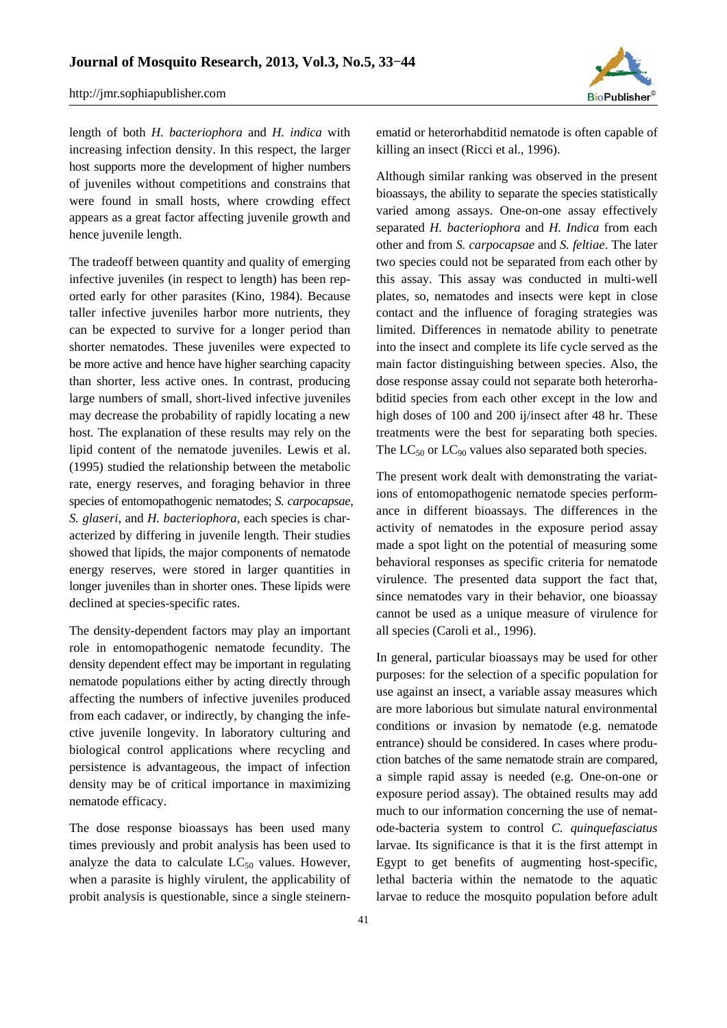

length of both *H. bacteriophora* and *H. indica* with increasing infection density. In this respect, the larger host supports more the development of higher numbers of juveniles without competitions and constrains that were found in small hosts, where crowding effect appears as a great factor affecting juvenile growth and hence juvenile length.

The tradeoff between quantity and quality of emerging infective juveniles (in respect to length) has been reported early for other parasites (Kino, 1984). Because taller infective juveniles harbor more nutrients, they can be expected to survive for a longer period than shorter nematodes. These juveniles were expected to be more active and hence have higher searching capacity than shorter, less active ones. In contrast, producing large numbers of small, short-lived infective juveniles may decrease the probability of rapidly locating a new host. The explanation of these results may rely on the lipid content of the nematode juveniles. Lewis et al. (1995) studied the relationship between the metabolic rate, energy reserves, and foraging behavior in three species of entomopathogenic nematodes; *S. carpocapsae*, *S. glaseri*, and *H. bacteriophora*, each species is characterized by differing in juvenile length. Their studies showed that lipids, the major components of nematode energy reserves, were stored in larger quantities in longer juveniles than in shorter ones. These lipids were declined at species-specific rates.

The density-dependent factors may play an important role in entomopathogenic nematode fecundity. The density dependent effect may be important in regulating nematode populations either by acting directly through affecting the numbers of infective juveniles produced from each cadaver, or indirectly, by changing the infective juvenile longevity. In laboratory culturing and biological control applications where recycling and persistence is advantageous, the impact of infection density may be of critical importance in maximizing nematode efficacy.

The dose response bioassays has been used many times previously and probit analysis has been used to analyze the data to calculate  $LC_{50}$  values. However, when a parasite is highly virulent, the applicability of probit analysis is questionable, since a single steinernematid or heterorhabditid nematode is often capable of killing an insect (Ricci et al., 1996).

Although similar ranking was observed in the present bioassays, the ability to separate the species statistically varied among assays. One-on-one assay effectively separated *H. bacteriophora* and *H. Indica* from each other and from *S. carpocapsae* and *S. feltiae*. The later two species could not be separated from each other by this assay. This assay was conducted in multi-well plates, so, nematodes and insects were kept in close contact and the influence of foraging strategies was limited. Differences in nematode ability to penetrate into the insect and complete its life cycle served as the main factor distinguishing between species. Also, the dose response assay could not separate both heterorhabditid species from each other except in the low and high doses of 100 and 200 ij/insect after 48 hr. These treatments were the best for separating both species. The  $LC_{50}$  or  $LC_{90}$  values also separated both species.

The present work dealt with demonstrating the variations of entomopathogenic nematode species performance in different bioassays. The differences in the activity of nematodes in the exposure period assay made a spot light on the potential of measuring some behavioral responses as specific criteria for nematode virulence. The presented data support the fact that, since nematodes vary in their behavior, one bioassay cannot be used as a unique measure of virulence for all species (Caroli et al., 1996).

In general, particular bioassays may be used for other purposes: for the selection of a specific population for use against an insect, a variable assay measures which are more laborious but simulate natural environmental conditions or invasion by nematode (e.g. nematode entrance) should be considered. In cases where production batches of the same nematode strain are compared, a simple rapid assay is needed (e.g. One-on-one or exposure period assay). The obtained results may add much to our information concerning the use of nematode-bacteria system to control *C. quinquefasciatus* larvae. Its significance is that it is the first attempt in Egypt to get benefits of augmenting host-specific, lethal bacteria within the nematode to the aquatic larvae to reduce the mosquito population before adult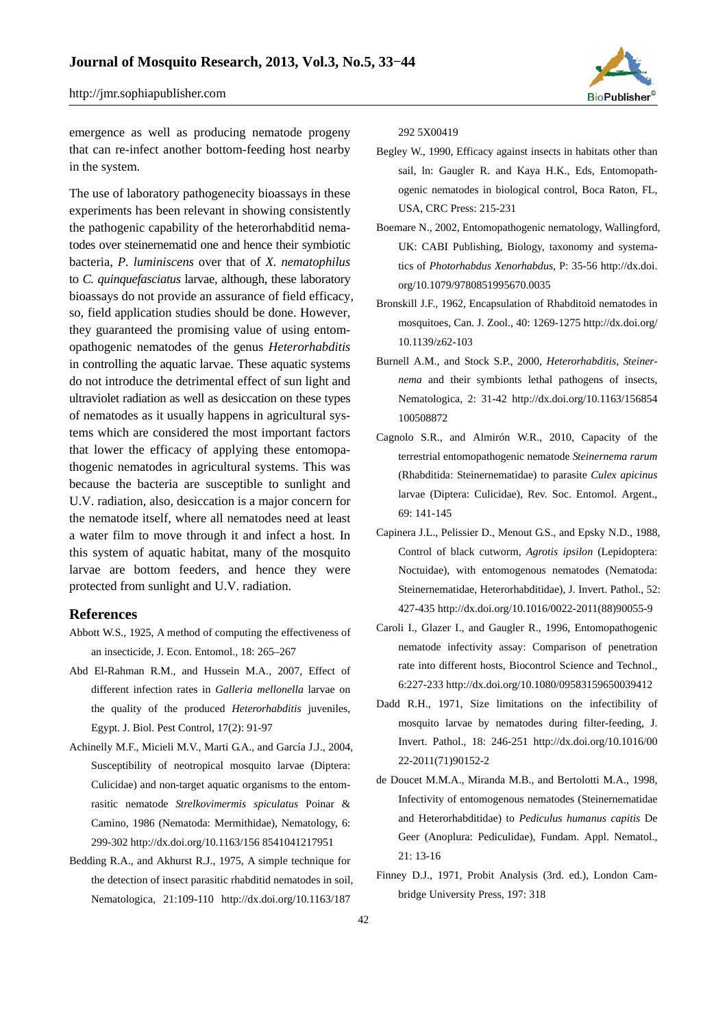

emergence as well as producing nematode progeny that can re-infect another bottom-feeding host nearby in the system.

The use of laboratory pathogenecity bioassays in these experiments has been relevant in showing consistently the pathogenic capability of the heterorhabditid nematodes over steinernematid one and hence their symbiotic bacteria, *P. luminiscens* over that of *X. nematophilus* to *C. quinquefasciatus* larvae, although, these laboratory bioassays do not provide an assurance of field efficacy, so, field application studies should be done. However, they guaranteed the promising value of using entomopathogenic nematodes of the genus *Heterorhabditis* in controlling the aquatic larvae. These aquatic systems do not introduce the detrimental effect of sun light and ultraviolet radiation as well as desiccation on these types of nematodes as it usually happens in agricultural systems which are considered the most important factors that lower the efficacy of applying these entomopathogenic nematodes in agricultural systems. This was because the bacteria are susceptible to sunlight and U.V. radiation, also, desiccation is a major concern for the nematode itself, where all nematodes need at least a water film to move through it and infect a host. In this system of aquatic habitat, many of the mosquito larvae are bottom feeders, and hence they were protected from sunlight and U.V. radiation.

# **References**

- Abbott W.S., 1925, A method of computing the effectiveness of an insecticide, J. Econ. Entomol., 18: 265–267
- Abd El-Rahman R.M., and Hussein M.A., 2007, Effect of different infection rates in *Galleria mellonella* larvae on the quality of the produced *Heterorhabditis* juveniles, Egypt. J. Biol. Pest Control, 17(2): 91-97
- Achinelly M.F., Micieli M.V., Marti G.A., and García J.J., 2004, Susceptibility of neotropical mosquito larvae (Diptera: Culicidae) and non-target aquatic organisms to the entomrasitic nematode *Strelkovimermis spiculatus* Poinar & Camino, 1986 (Nematoda: Mermithidae), Nematology, 6: 299-302 http://dx.doi.org/10.1163/156 8541041217951
- Bedding R.A., and Akhurst R.J., 1975, A simple technique for the detection of insect parasitic rhabditid nematodes in soil, Nematologica, 21:109-110 http://dx.doi.org/10.1163/187

292 5X00419

- Begley W., 1990, Efficacy against insects in habitats other than sail, ln: Gaugler R. and Kaya H.K., Eds, Entomopathogenic nematodes in biological control, Boca Raton, FL, USA, CRC Press: 215-231
- Boemare N., 2002, Entomopathogenic nematology, Wallingford, UK: CABI Publishing, Biology, taxonomy and systematics of *Photorhabdus Xenorhabdus*, P: 35-56 http://dx.doi. org/10.1079/9780851995670.0035
- Bronskill J.F., 1962, Encapsulation of Rhabditoid nematodes in mosquitoes, Can. J. Zool., 40: 1269-1275 http://dx.doi.org/ 10.1139/z62-103
- Burnell A.M., and Stock S.P., 2000, *Heterorhabditis*, *Steinernema* and their symbionts lethal pathogens of insects, Nematologica, 2: 31-42 http://dx.doi.org/10.1163/156854 100508872
- Cagnolo S.R., and Almirón W.R., 2010, Capacity of the terrestrial entomopathogenic nematode *Steinernema rarum*  (Rhabditida: Steinernematidae) to parasite *Culex apicinus* larvae (Diptera: Culicidae), Rev. Soc. Entomol. Argent., 69: 141-145
- Capinera J.L., Pelissier D., Menout G.S., and Epsky N.D., 1988, Control of black cutworm, *Agrotis ipsilon* (Lepidoptera: Noctuidae), with entomogenous nematodes (Nematoda: Steinernematidae, Heterorhabditidae), J. Invert. Pathol., 52: 427-435 http://dx.doi.org/10.1016/0022-2011(88)90055-9
- Caroli I., Glazer I., and Gaugler R., 1996, Entomopathogenic nematode infectivity assay: Comparison of penetration rate into different hosts, Biocontrol Science and Technol., 6:227-233 http://dx.doi.org/10.1080/09583159650039412
- Dadd R.H., 1971, Size limitations on the infectibility of mosquito larvae by nematodes during filter-feeding, J. Invert. Pathol., 18: 246-251 http://dx.doi.org/10.1016/00 22-2011(71)90152-2
- de Doucet M.M.A., Miranda M.B., and Bertolotti M.A., 1998, Infectivity of entomogenous nematodes (Steinernematidae and Heterorhabditidae) to *Pediculus humanus capitis* De Geer (Anoplura: Pediculidae), Fundam. Appl. Nematol., 21: 13-16
- Finney D.J., 1971, Probit Analysis (3rd. ed.), London Cambridge University Press, 197: 318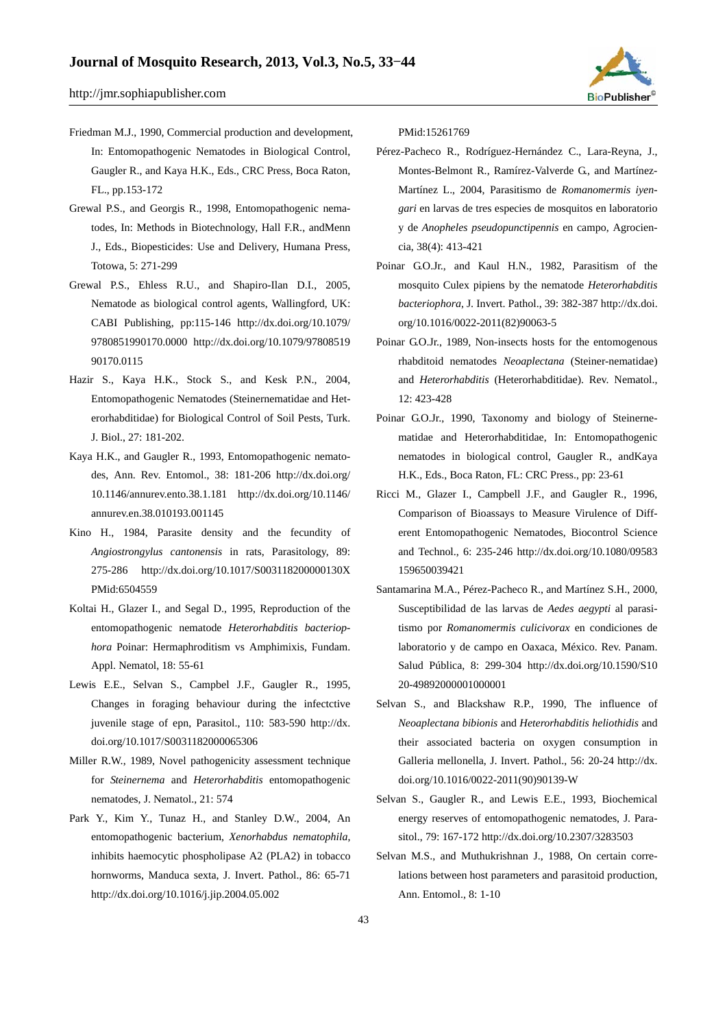

- Grewal P.S., and Georgis R., 1998, Entomopathogenic nematodes, In: Methods in Biotechnology, Hall F.R., andMenn J., Eds., Biopesticides: Use and Delivery, Humana Press, Totowa, 5: 271-299
- Grewal P.S., Ehless R.U., and Shapiro-Ilan D.I., 2005, Nematode as biological control agents, Wallingford, UK: CABI Publishing, pp:115-146 http://dx.doi.org/10.1079/ 9780851990170.0000 http://dx.doi.org/10.1079/97808519 90170.0115
- Hazir S., Kaya H.K., Stock S., and Kesk P.N., 2004, Entomopathogenic Nematodes (Steinernematidae and Heterorhabditidae) for Biological Control of Soil Pests, Turk. J. Biol., 27: 181-202.
- Kaya H.K., and Gaugler R., 1993, Entomopathogenic nematodes, Ann. Rev. Entomol., 38: 181-206 http://dx.doi.org/ 10.1146/annurev.ento.38.1.181 http://dx.doi.org/10.1146/ annurev.en.38.010193.001145
- Kino H., 1984, Parasite density and the fecundity of *Angiostrongylus cantonensis* in rats, Parasitology, 89: 275-286 http://dx.doi.org/10.1017/S003118200000130X PMid:6504559
- Koltai H., Glazer I., and Segal D., 1995, Reproduction of the entomopathogenic nematode *Heterorhabditis bacteriophora* Poinar: Hermaphroditism vs Amphimixis, Fundam. Appl. Nematol, 18: 55-61
- Lewis E.E., Selvan S., Campbel J.F., Gaugler R., 1995, Changes in foraging behaviour during the infectctive juvenile stage of epn, Parasitol., 110: 583-590 http://dx. doi.org/10.1017/S0031182000065306
- Miller R.W., 1989, Novel pathogenicity assessment technique for *Steinernema* and *Heterorhabditis* entomopathogenic nematodes, J. Nematol., 21: 574
- Park Y., Kim Y., Tunaz H., and Stanley D.W., 2004, An entomopathogenic bacterium, *Xenorhabdus nematophila*, inhibits haemocytic phospholipase A2 (PLA2) in tobacco hornworms, Manduca sexta, J. Invert. Pathol., 86: 65-71 http://dx.doi.org/10.1016/j.jip.2004.05.002

PMid:15261769

- Pérez-Pacheco R., Rodríguez-Hernández C., Lara-Reyna, J., Montes-Belmont R., Ramírez-Valverde G., and Martínez-Martínez L., 2004, Parasitismo de *Romanomermis iyengari* en larvas de tres especies de mosquitos en laboratorio y de *Anopheles pseudopunctipennis* en campo, Agrociencia, 38(4): 413-421
- Poinar G.O.Jr., and Kaul H.N., 1982, Parasitism of the mosquito Culex pipiens by the nematode *Heterorhabditis bacteriophora*, J. Invert. Pathol., 39: 382-387 http://dx.doi. org/10.1016/0022-2011(82)90063-5
- Poinar G.O.Jr., 1989, Non-insects hosts for the entomogenous rhabditoid nematodes *Neoaplectana* (Steiner-nematidae) and *Heterorhabditis* (Heterorhabditidae). Rev. Nematol., 12: 423-428
- Poinar G.O.Jr., 1990, Taxonomy and biology of Steinernematidae and Heterorhabditidae, In: Entomopathogenic nematodes in biological control, Gaugler R., andKaya H.K., Eds., Boca Raton, FL: CRC Press., pp: 23-61
- Ricci M., Glazer I., Campbell J.F., and Gaugler R., 1996, Comparison of Bioassays to Measure Virulence of Different Entomopathogenic Nematodes, Biocontrol Science and Technol., 6: 235-246 http://dx.doi.org/10.1080/09583 159650039421
- Santamarina M.A., Pérez-Pacheco R., and Martínez S.H., 2000, Susceptibilidad de las larvas de *Aedes aegypti* al parasitismo por *Romanomermis culicivorax* en condiciones de laboratorio y de campo en Oaxaca, México. Rev. Panam. Salud Pública, 8: 299-304 http://dx.doi.org/10.1590/S10 20-49892000001000001
- Selvan S., and Blackshaw R.P., 1990, The influence of *Neoaplectana bibionis* and *Heterorhabditis heliothidis* and their associated bacteria on oxygen consumption in Galleria mellonella, J. Invert. Pathol., 56: 20-24 http://dx. doi.org/10.1016/0022-2011(90)90139-W
- Selvan S., Gaugler R., and Lewis E.E., 1993, Biochemical energy reserves of entomopathogenic nematodes, J. Parasitol., 79: 167-172 http://dx.doi.org/10.2307/3283503
- Selvan M.S., and Muthukrishnan J., 1988, On certain correlations between host parameters and parasitoid production, Ann. Entomol., 8: 1-10